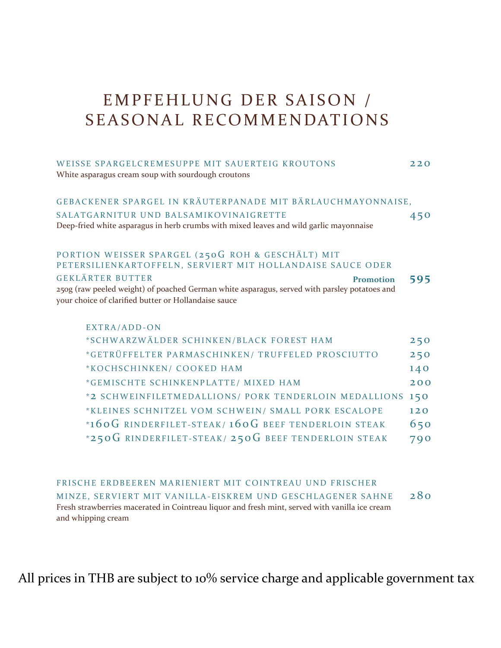### EMPFEHLUNG DER SAISON / S EAS ONAL RECOMMENDATIONS

| WEISSE SPARGELCREMESUPPE MIT SAUERTEIG KROUTONS<br>White asparagus cream soup with sourdough croutons                                                                                               | 220 |
|-----------------------------------------------------------------------------------------------------------------------------------------------------------------------------------------------------|-----|
| GEBACKENER SPARGEL IN KRÄUTERPANADE MIT BÄRLAUCHMAYONNAISE,                                                                                                                                         |     |
| SALATGARNITUR UND BALSAMIKOVINAIGRETTE                                                                                                                                                              | 450 |
| Deep-fried white asparagus in herb crumbs with mixed leaves and wild garlic mayonnaise                                                                                                              |     |
| PORTION WEISSER SPARGEL (250G ROH & GESCHÄLT) MIT<br>PETERSILIENKARTOFFELN, SERVIERT MIT HOLLANDAISE SAUCE ODER                                                                                     |     |
| <b>GEKLÄRTER BUTTER</b><br><b>Promotion</b><br>250g (raw peeled weight) of poached German white asparagus, served with parsley potatoes and<br>your choice of clarified butter or Hollandaise sauce | 595 |
| EXTRA/ADD-ON                                                                                                                                                                                        |     |
| *SCHWARZWÄLDER SCHINKEN/BLACK FOREST HAM                                                                                                                                                            | 250 |
| *GETRÜFFELTER PARMASCHINKEN/ TRUFFELED PROSCIUTTO                                                                                                                                                   | 250 |
| *KOCHSCHINKEN/ COOKED HAM                                                                                                                                                                           | 140 |
| *GEMISCHTE SCHINKENPLATTE/ MIXED HAM                                                                                                                                                                | 200 |
| *2 SCHWEINFILETMEDALLIONS/ PORK TENDERLOIN MEDALLIONS                                                                                                                                               | 150 |
| *KLEINES SCHNITZEL VOM SCHWEIN/ SMALL PORK ESCALOPE                                                                                                                                                 | 120 |
| *160G RINDERFILET-STEAK/160G BEEF TENDERLOIN STEAK                                                                                                                                                  | 650 |
| *250G RINDERFILET-STEAK/ 250G BEEF TENDERLOIN STEAK                                                                                                                                                 | 790 |

FRISCHE ERDBEEREN MARIENIERT MIT COINTREAU UND FRISCHER MINZE, SERVIERT MIT VANILLA-EISKREM UND GESCHLAGENER SAHNE 280 Fresh strawberries macerated in Cointreau liquor and fresh mint, served with vanilla ice cream and whipping cream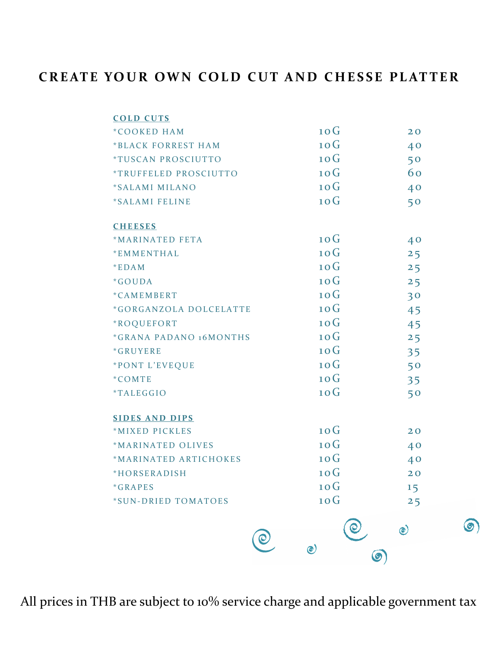### **CREATE YOUR OWN COLD CUT AND CHESSE PLATTER**

| <b>COLD CUTS</b><br>*COOKED HAM      | 10G     | 20             |  |
|--------------------------------------|---------|----------------|--|
| *BLACK FORREST HAM                   | 10G     | 40             |  |
| <i><b>*TUSCAN PROSCIUTTO</b></i>     | 10G     | 50             |  |
| *TRUFFELED PROSCIUTTO                | 10G     | 60             |  |
| *SALAMI MILANO                       | 10G     | 40             |  |
| *SALAMI FELINE                       | 10G     | 50             |  |
| <b>CHEESES</b>                       |         |                |  |
| *MARINATED FETA                      | 10G     | 40             |  |
| *EMMENTHAL                           | 10G     | 25             |  |
| $*$ EDAM                             | 10G     | 25             |  |
| *GOUDA                               | 10G     | 25             |  |
| *CAMEMBERT                           | 10G     | 30             |  |
| *GORGANZOLA DOLCELATTE               | 10G     | 45             |  |
| *ROQUEFORT                           | 10G     | 45             |  |
| <i><b>*GRANA PADANO 16MONTHS</b></i> | 10G     | 25             |  |
| *GRUYERE                             | 10G     | 35             |  |
| *PONT L'EVEQUE                       | 10G     | 50             |  |
| $*$ COMTE                            | 10G     | 35             |  |
| <i><b>*TALEGGIO</b></i>              | 10G     | 50             |  |
| <b>SIDES AND DIPS</b>                |         |                |  |
| *MIXED PICKLES                       | 10G     | 20             |  |
| *MARINATED OLIVES                    | 10G     | 40             |  |
| *MARINATED ARTICHOKES                | 10G     | 40             |  |
| *HORSERADISH                         | 10G     | 20             |  |
| *GRAPES                              | 10G     | 15             |  |
| *SUN-DRIED TOMATOES                  | 10G     | 25             |  |
|                                      |         | $\circledcirc$ |  |
|                                      | $\odot$ | $\odot$        |  |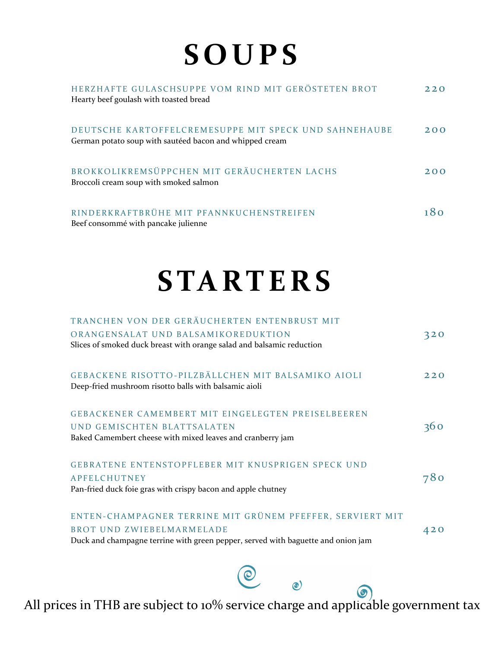# **S O U P S**

| HERZHAFTE GULASCHSUPPE VOM RIND MIT GERÖSTETEN BROT<br>Hearty beef goulash with toasted bread                    | 2.2.0 |
|------------------------------------------------------------------------------------------------------------------|-------|
| DEUTSCHE KARTOFFELCREMESUPPE MIT SPECK UND SAHNEHAUBE<br>German potato soup with sautéed bacon and whipped cream | 200   |
| BROKKOLIKREMSÜPPCHEN MIT GERÄUCHERTEN LACHS<br>Broccoli cream soup with smoked salmon                            | 200   |
| RINDERKRAFTBRÜHE MIT PFANNKUCHENSTREIFEN<br>Beef consommé with pancake julienne                                  |       |

## **S TA RT E R S**

| TRANCHEN VON DER GERÄUCHERTEN ENTENBRUST MIT                                     |                 |
|----------------------------------------------------------------------------------|-----------------|
| ORANGENSALAT UND BALSAMIKOREDUKTION                                              | 320             |
| Slices of smoked duck breast with orange salad and balsamic reduction            |                 |
|                                                                                  |                 |
|                                                                                  |                 |
| GEBACKENE RISOTTO-PILZBÄLLCHEN MIT BALSAMIKO AIOLI                               | 220             |
| Deep-fried mushroom risotto balls with balsamic aioli                            |                 |
|                                                                                  |                 |
| <b>GEBACKENER CAMEMBERT MIT EINGELEGTEN PREISELBEEREN</b>                        |                 |
| UND GEMISCHTEN BLATTSALATEN                                                      | 360             |
| Baked Camembert cheese with mixed leaves and cranberry jam                       |                 |
|                                                                                  |                 |
| GEBRATENE ENTENSTOPFLEBER MIT KNUSPRIGEN SPECK UND                               |                 |
| <b>APFELCHUTNEY</b>                                                              | 78 <sup>o</sup> |
| Pan-fried duck foie gras with crispy bacon and apple chutney                     |                 |
|                                                                                  |                 |
| ENTEN-CHAMPAGNER TERRINE MIT GRÜNEM PFEFFER, SERVIERT MIT                        |                 |
| BROT UND ZWIEBELMARMELADE                                                        | 420             |
| Duck and champagne terrine with green pepper, served with baguette and onion jam |                 |
|                                                                                  |                 |
|                                                                                  |                 |

All prices in THB are subject to 10% service charge and applicable government tax

 $\bigcirc$ 

 $\odot)$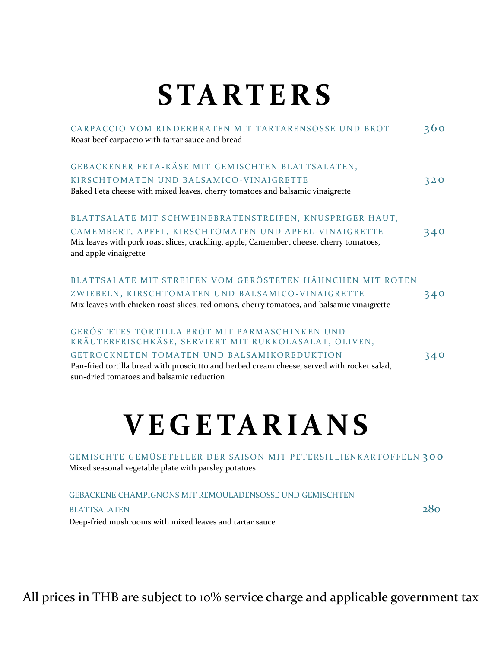## **S TA RT E R S**

| CARPACCIO VOM RINDERBRATEN MIT TARTARENSOSSE UND BROT<br>Roast beef carpaccio with tartar sauce and bread                                        | 360 |
|--------------------------------------------------------------------------------------------------------------------------------------------------|-----|
| GEBACKENER FETA-KÄSE MIT GEMISCHTEN BLATTSALATEN,                                                                                                |     |
| KIRSCHTOMATEN UND BALSAMICO-VINAIGRETTE<br>Baked Feta cheese with mixed leaves, cherry tomatoes and balsamic vinaigrette                         | 320 |
| BLATTSALATE MIT SCHWEINEBRATENSTREIFEN, KNUSPRIGER HAUT,<br>CAMEMBERT, APFEL, KIRSCHTOMATEN UND APFEL-VINAIGRETTE                                | 340 |
| Mix leaves with pork roast slices, crackling, apple, Camembert cheese, cherry tomatoes,<br>and apple vinaigrette                                 |     |
| BLATTSALATE MIT STREIFEN VOM GERÖSTETEN HÄHNCHEN MIT ROTEN                                                                                       |     |
| ZWIEBELN, KIRSCHTOMATEN UND BALSAMICO-VINAIGRETTE<br>Mix leaves with chicken roast slices, red onions, cherry tomatoes, and balsamic vinaigrette | 340 |
| GERÖSTETES TORTILLA BROT MIT PARMASCHINKEN UND<br>KRÄUTERFRISCHKÄSE, SERVIERT MIT RUKKOLASALAT, OLIVEN,                                          |     |
| GETROCKNETEN TOMATEN UND BALSAMIKOREDUKTION                                                                                                      | 340 |
| Pan-fried tortilla bread with prosciutto and herbed cream cheese, served with rocket salad,<br>sun-dried tomatoes and balsamic reduction         |     |
|                                                                                                                                                  |     |

### **V E G E TA R I A N S**

GEMISCHTE GEMÜSETELLER DER SAISON MIT PETERSILLIENKARTOFFELN 300 Mixed seasonal vegetable plate with parsley potatoes

GEBACKENE CHAMPIGNONS MIT REMOULADENSOSSE UND GEMISCHTEN

#### BLATTSALATEN 280

Deep-fried mushrooms with mixed leaves and tartar sauce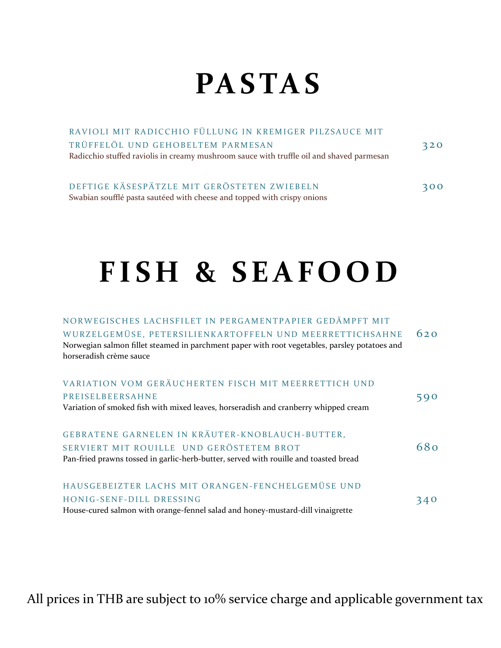### **PA S TA S**

| RAVIOLI MIT RADICCHIO FÜLLUNG IN KREMIGER PILZSAUCE MIT                                  |     |
|------------------------------------------------------------------------------------------|-----|
| TRÜFFELÖL UND GEHOBELTEM PARMESAN                                                        | 320 |
| Radicchio stuffed raviolis in creamy mushroom sauce with truffle oil and shaved parmesan |     |
|                                                                                          |     |
| DEFTIGE KÄSESPÄTZLE MIT GERÖSTETEN ZWIEBELN                                              | 300 |

Swabian soufflé pasta sautéed with cheese and topped with crispy onions

FISH & SEAFOOD

### NORWEGISCHES LACHSFILET IN PERGAMENTPAPIER GEDÄMPFT MIT

| WURZELGEMÜSE, PETERSILIENKARTOFFELN UND MEERRETTICHSAHNE<br>Norwegian salmon fillet steamed in parchment paper with root vegetables, parsley potatoes and | 620 |
|-----------------------------------------------------------------------------------------------------------------------------------------------------------|-----|
| horseradish crème sauce                                                                                                                                   |     |
| VARIATION VOM GERÄUCHERTEN FISCH MIT MEERRETTICH UND                                                                                                      |     |
| PREISELBEERSAHNE                                                                                                                                          | 590 |
| Variation of smoked fish with mixed leaves, horseradish and cranberry whipped cream                                                                       |     |
|                                                                                                                                                           |     |
| GEBRATENE GARNELEN IN KRÄUTER-KNOBLAUCH-BUTTER,                                                                                                           |     |
| SERVIERT MIT ROUILLE UND GERÖSTETEM BROT                                                                                                                  | 680 |
| Pan-fried prawns tossed in garlic-herb-butter, served with rouille and toasted bread                                                                      |     |
| HAUSGEBEIZTER LACHS MIT ORANGEN-FENCHELGEMÜSE UND                                                                                                         |     |
| HONIG-SENF-DILL DRESSING                                                                                                                                  | 340 |
| House-cured salmon with orange-fennel salad and honey-mustard-dill vinaigrette                                                                            |     |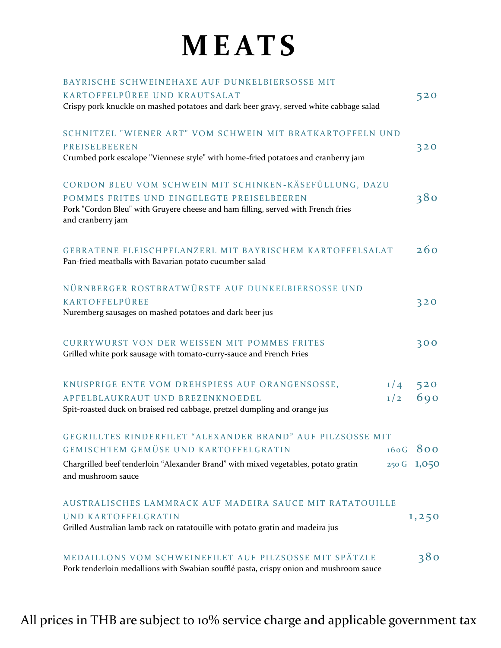## **M E AT S**

| BAYRISCHE SCHWEINEHAXE AUF DUNKELBIERSOSSE MIT                                         |     |             |  |
|----------------------------------------------------------------------------------------|-----|-------------|--|
| KARTOFFELPÜREE UND KRAUTSALAT                                                          |     | 520         |  |
| Crispy pork knuckle on mashed potatoes and dark beer gravy, served white cabbage salad |     |             |  |
|                                                                                        |     |             |  |
| SCHNITZEL "WIENER ART" VOM SCHWEIN MIT BRATKARTOFFELN UND                              |     |             |  |
| PREISELBEEREN                                                                          |     | 320         |  |
| Crumbed pork escalope "Viennese style" with home-fried potatoes and cranberry jam      |     |             |  |
|                                                                                        |     |             |  |
| CORDON BLEU VOM SCHWEIN MIT SCHINKEN-KÄSEFÜLLUNG, DAZU                                 |     |             |  |
| POMMES FRITES UND EINGELEGTE PREISELBEEREN                                             |     | 380         |  |
| Pork "Cordon Bleu" with Gruyere cheese and ham filling, served with French fries       |     |             |  |
| and cranberry jam                                                                      |     |             |  |
|                                                                                        |     |             |  |
|                                                                                        |     |             |  |
| GEBRATENE FLEISCHPFLANZERL MIT BAYRISCHEM KARTOFFELSALAT                               |     | 260         |  |
| Pan-fried meatballs with Bavarian potato cucumber salad                                |     |             |  |
|                                                                                        |     |             |  |
| NÜRNBERGER ROSTBRATWÜRSTE AUF DUNKELBIERSOSSE UND                                      |     |             |  |
| KARTOFFELPÜREE                                                                         |     | 320         |  |
| Nuremberg sausages on mashed potatoes and dark beer jus                                |     |             |  |
|                                                                                        |     |             |  |
| <b>CURRYWURST VON DER WEISSEN MIT POMMES FRITES</b>                                    |     | 300         |  |
| Grilled white pork sausage with tomato-curry-sauce and French Fries                    |     |             |  |
|                                                                                        |     |             |  |
| KNUSPRIGE ENTE VOM DREHSPIESS AUF ORANGENSOSSE,                                        | 1/4 | 520         |  |
| APFELBLAUKRAUT UND BREZENKNOEDEL                                                       | 1/2 | 690         |  |
| Spit-roasted duck on braised red cabbage, pretzel dumpling and orange jus              |     |             |  |
|                                                                                        |     |             |  |
| GEGRILLTES RINDERFILET "ALEXANDER BRAND" AUF PILZSOSSE MIT                             |     |             |  |
| <b>GEMISCHTEM GEMÜSE UND KARTOFFELGRATIN</b>                                           |     | $160G$ 800  |  |
|                                                                                        |     |             |  |
| Chargrilled beef tenderloin "Alexander Brand" with mixed vegetables, potato gratin     |     | 250 G 1,050 |  |
| and mushroom sauce                                                                     |     |             |  |
|                                                                                        |     |             |  |
| AUSTRALISCHES LAMMRACK AUF MADEIRA SAUCE MIT RATATOUILLE                               |     |             |  |
| <b>UND KARTOFFELGRATIN</b>                                                             |     | 1,250       |  |
| Grilled Australian lamb rack on ratatouille with potato gratin and madeira jus         |     |             |  |
|                                                                                        |     |             |  |
| MEDAILLONS VOM SCHWEINEFILET AUF PILZSOSSE MIT SPÄTZLE                                 |     | 380         |  |
|                                                                                        |     |             |  |

Pork tenderloin medallions with Swabian soufflé pasta, crispy onion and mushroom sauce